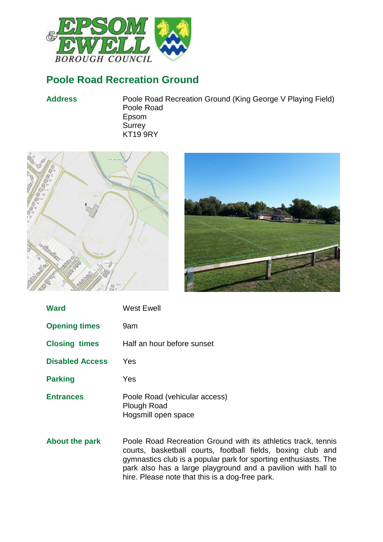

# **Poole Road Recreation Ground**

**Address** Poole Road Recreation Ground (King George V Playing Field) Poole Road Epsom **Surrey** KT19 9RY





| <b>Ward</b>            | West Ewell                                                          |
|------------------------|---------------------------------------------------------------------|
| <b>Opening times</b>   | 9am                                                                 |
| <b>Closing times</b>   | Half an hour before sunset                                          |
| <b>Disabled Access</b> | Yes                                                                 |
| <b>Parking</b>         | Yes                                                                 |
| <b>Entrances</b>       | Poole Road (vehicular access)<br>Plough Road<br>Hogsmill open space |

**About the park** Poole Road Recreation Ground with its athletics track, tennis courts, basketball courts, football fields, boxing club and gymnastics club is a popular park for sporting enthusiasts. The park also has a large playground and a pavilion with hall to hire. Please note that this is a dog-free park.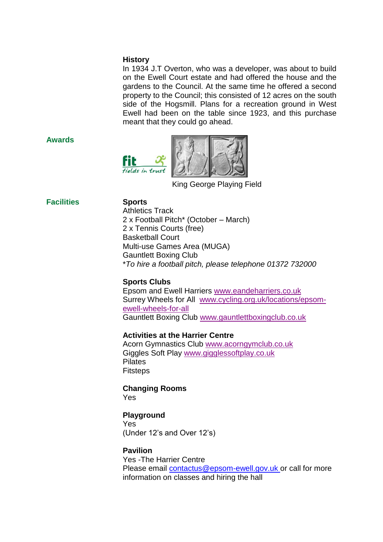#### **History**

In 1934 J.T Overton, who was a developer, was about to build on the Ewell Court estate and had offered the house and the gardens to the Council. At the same time he offered a second property to the Council; this consisted of 12 acres on the south side of the Hogsmill. Plans for a recreation ground in West Ewell had been on the table since 1923, and this purchase meant that they could go ahead.

#### **Awards**



King George Playing Field

## **Facilities Sports**

Athletics Track 2 x Football Pitch\* (October – March) 2 x Tennis Courts (free) Basketball Court Multi-use Games Area (MUGA) Gauntlett Boxing Club \**To hire a football pitch, please telephone 01372 732000*

## **Sports Clubs**

Epsom and Ewell Harriers [www.eandeharriers.co.uk](http://www.eandeharriers.co.uk/) Surrey Wheels for All [www.cycling.org.uk/locations/epsom](http://www.cycling.org.uk/locations/epsom-ewell-wheels-for-all)[ewell-wheels-for-all](http://www.cycling.org.uk/locations/epsom-ewell-wheels-for-all) Gauntlett Boxing Club [www.gauntlettboxingclub.co.uk](http://www.gauntlettboxingclub.co.uk/)

## **Activities at the Harrier Centre**

Acorn Gymnastics Club [www.acorngymclub.co.uk](http://www.acorngymclub.co.uk/) Giggles Soft Play [www.gigglessoftplay.co.uk](http://www.gigglessoftplay.co.uk/) Pilates Fitsteps

## **Changing Rooms**

Yes

## **Playground**

Yes (Under 12's and Over 12's)

#### **Pavilion**

Yes -The Harrier Centre Please email [contactus@epsom-ewell.gov.uk](mailto:contactus@epsom-ewell.gov.uk) or call for more information on classes and hiring the hall